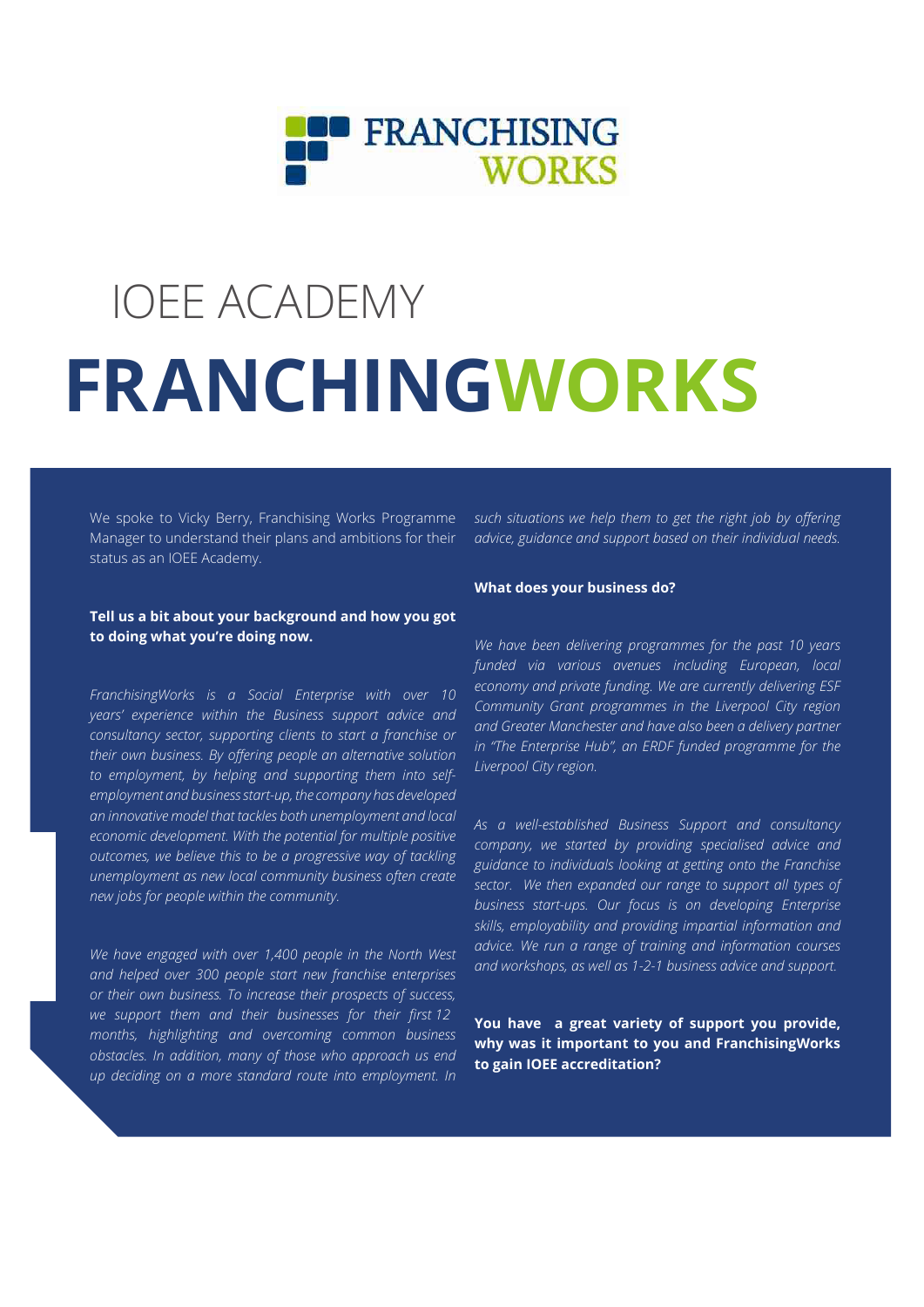

# IOEE ACADEMY **FRANCHINGWORKS**

We spoke to Vicky Berry, Franchising Works Programme Manager to understand their plans and ambitions for their status as an IOEE Academy.

#### **Tell us a bit about your background and how you got to doing what you're doing now.**

*FranchisingWorks is a Social Enterprise with over 10 years' experience within the Business support advice and consultancy sector, supporting clients to start a franchise or their own business. By offering people an alternative solution to employment, by helping and supporting them into selfemployment and business start-up, the company has developed an innovative model that tackles both unemployment and local economic development. With the potential for multiple positive outcomes, we believe this to be a progressive way of tackling unemployment as new local community business often create new jobs for people within the community.* 

*We have engaged with over 1,400 people in the North West and helped over 300 people start new franchise enterprises or their own business. To increase their prospects of success, we support them and their businesses for their first 12 months, highlighting and overcoming common business obstacles. In addition, many of those who approach us end up deciding on a more standard route into employment. In* 

*such situations we help them to get the right job by offering advice, guidance and support based on their individual needs.*

#### **What does your business do?**

*We have been delivering programmes for the past 10 years funded via various avenues including European, local economy and private funding. We are currently delivering ESF Community Grant programmes in the Liverpool City region and Greater Manchester and have also been a delivery partner in "The Enterprise Hub", an ERDF funded programme for the Liverpool City region.*

*As a well-established Business Support and consultancy company, we started by providing specialised advice and guidance to individuals looking at getting onto the Franchise sector. We then expanded our range to support all types of business start-ups. Our focus is on developing Enterprise skills, employability and providing impartial information and advice. We run a range of training and information courses and workshops, as well as 1-2-1 business advice and support.* 

**You have a great variety of support you provide, why was it important to you and FranchisingWorks to gain IOEE accreditation?**